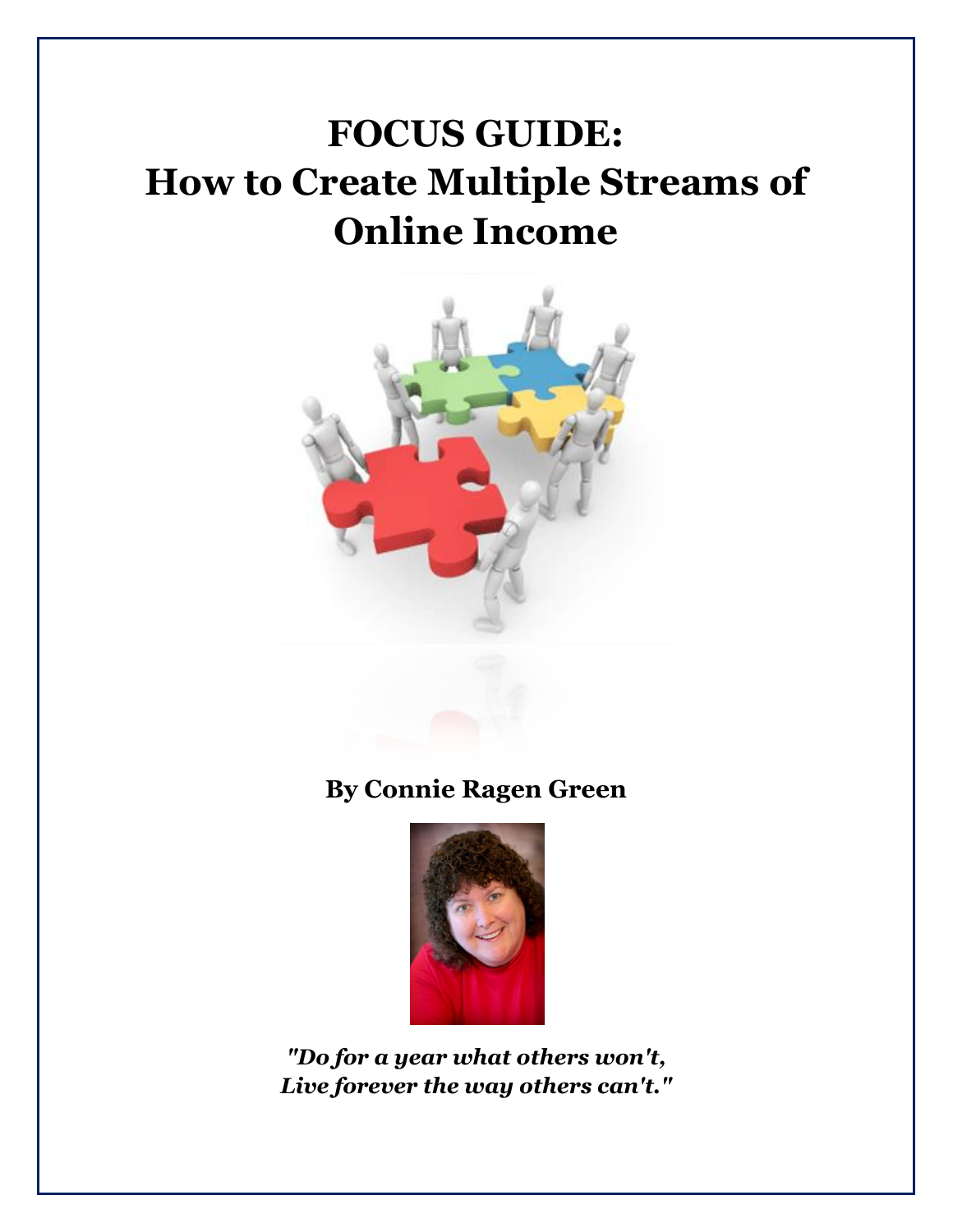# **FOCUS GUIDE: How to Create Multiple Streams of Online Income**



**By Connie Ragen Green**



*"Do for a year what others won't, Live forever the way others can't."*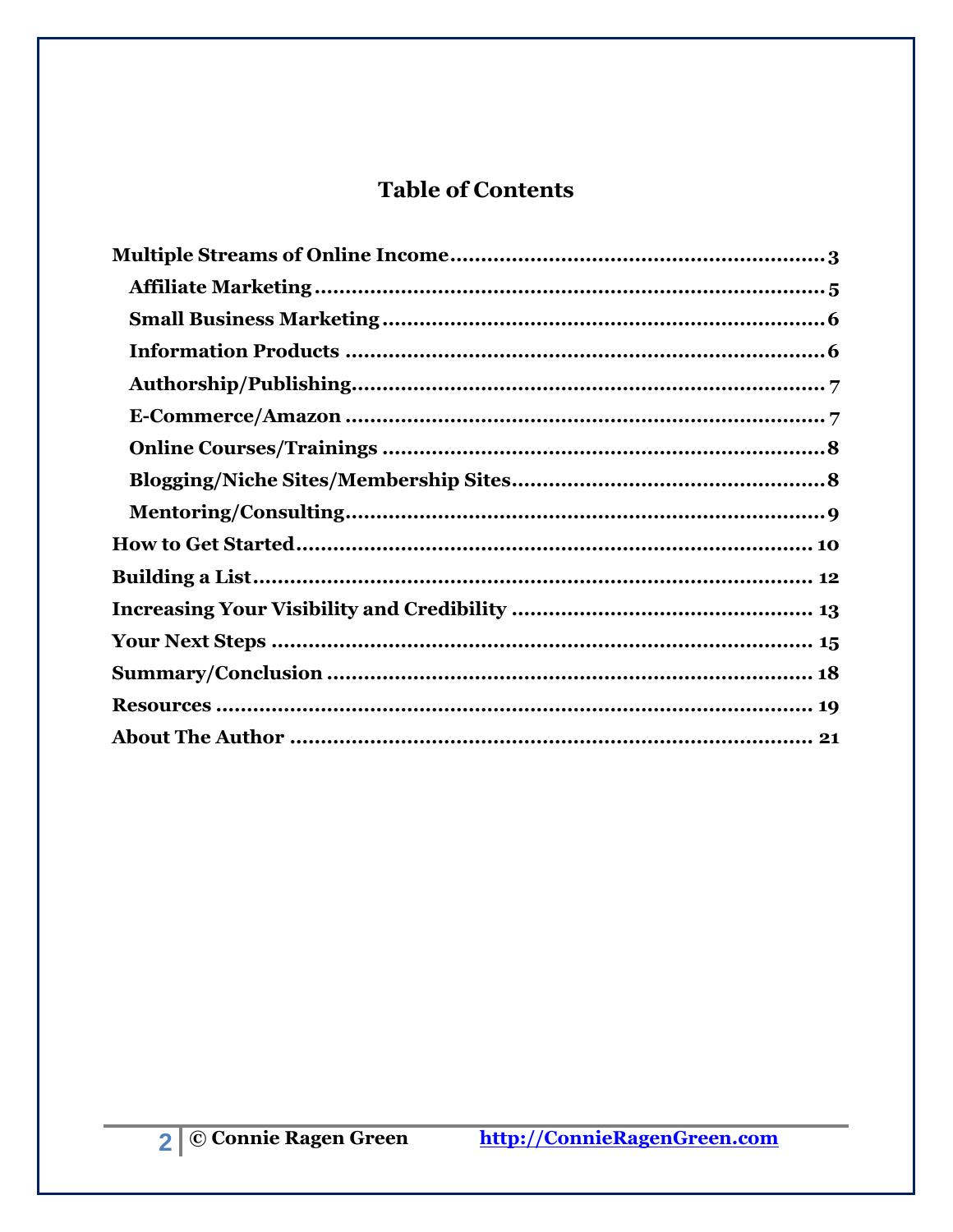# **Table of Contents**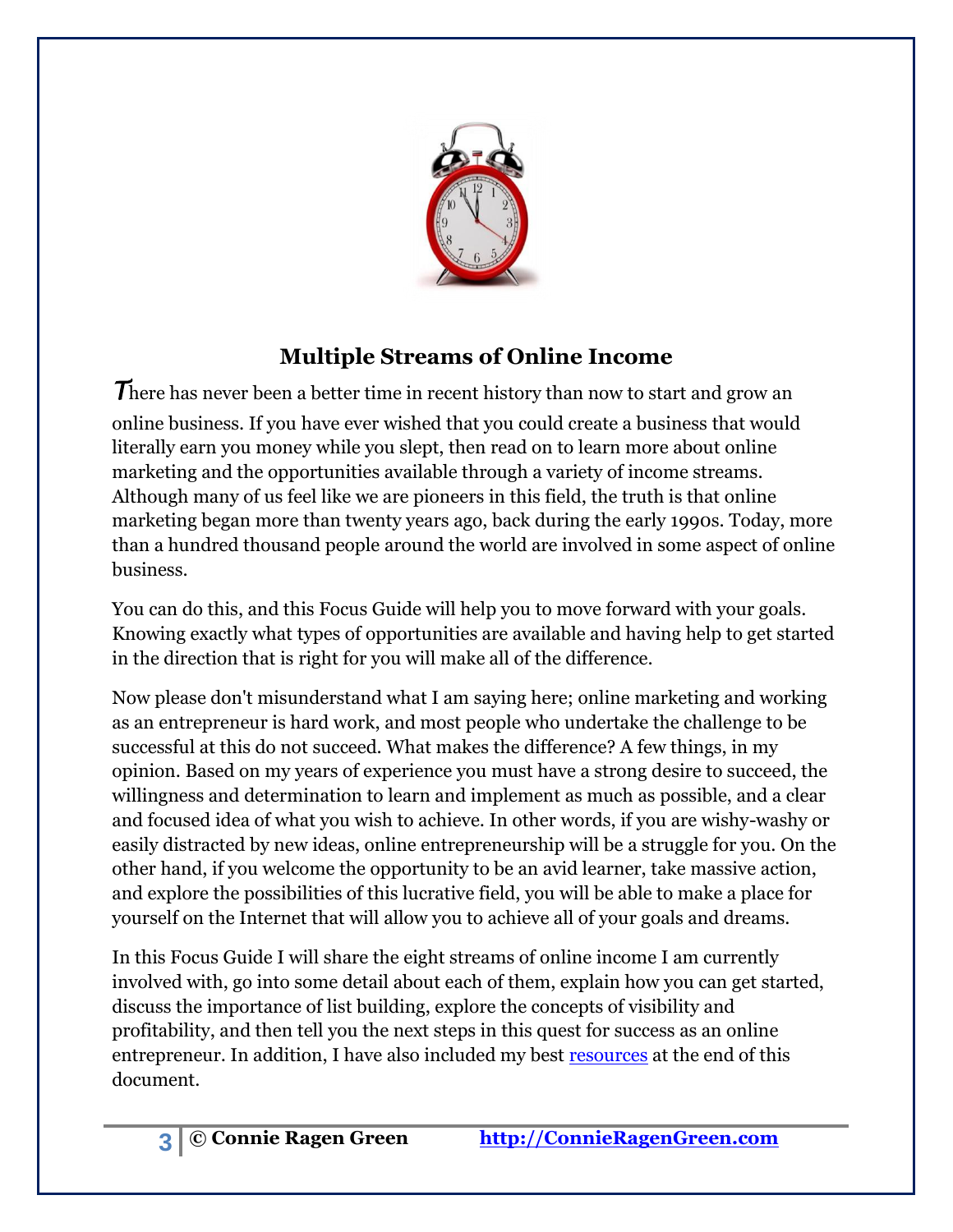

# **Multiple Streams of Online Income**

<span id="page-2-0"></span>*T*here has never been a better time in recent history than now to start and grow an online business. If you have ever wished that you could create a business that would literally earn you money while you slept, then read on to learn more about online marketing and the opportunities available through a variety of income streams. Although many of us feel like we are pioneers in this field, the truth is that online marketing began more than twenty years ago, back during the early 1990s. Today, more than a hundred thousand people around the world are involved in some aspect of online business.

You can do this, and this Focus Guide will help you to move forward with your goals. Knowing exactly what types of opportunities are available and having help to get started in the direction that is right for you will make all of the difference.

Now please don't misunderstand what I am saying here; online marketing and working as an entrepreneur is hard work, and most people who undertake the challenge to be successful at this do not succeed. What makes the difference? A few things, in my opinion. Based on my years of experience you must have a strong desire to succeed, the willingness and determination to learn and implement as much as possible, and a clear and focused idea of what you wish to achieve. In other words, if you are wishy-washy or easily distracted by new ideas, online entrepreneurship will be a struggle for you. On the other hand, if you welcome the opportunity to be an avid learner, take massive action, and explore the possibilities of this lucrative field, you will be able to make a place for yourself on the Internet that will allow you to achieve all of your goals and dreams.

In this Focus Guide I will share the eight streams of online income I am currently involved with, go into some detail about each of them, explain how you can get started, discuss the importance of list building, explore the concepts of visibility and profitability, and then tell you the next steps in this quest for success as an online entrepreneur. In addition, I have also included my best [resources](#page-18-0) at the end of this document.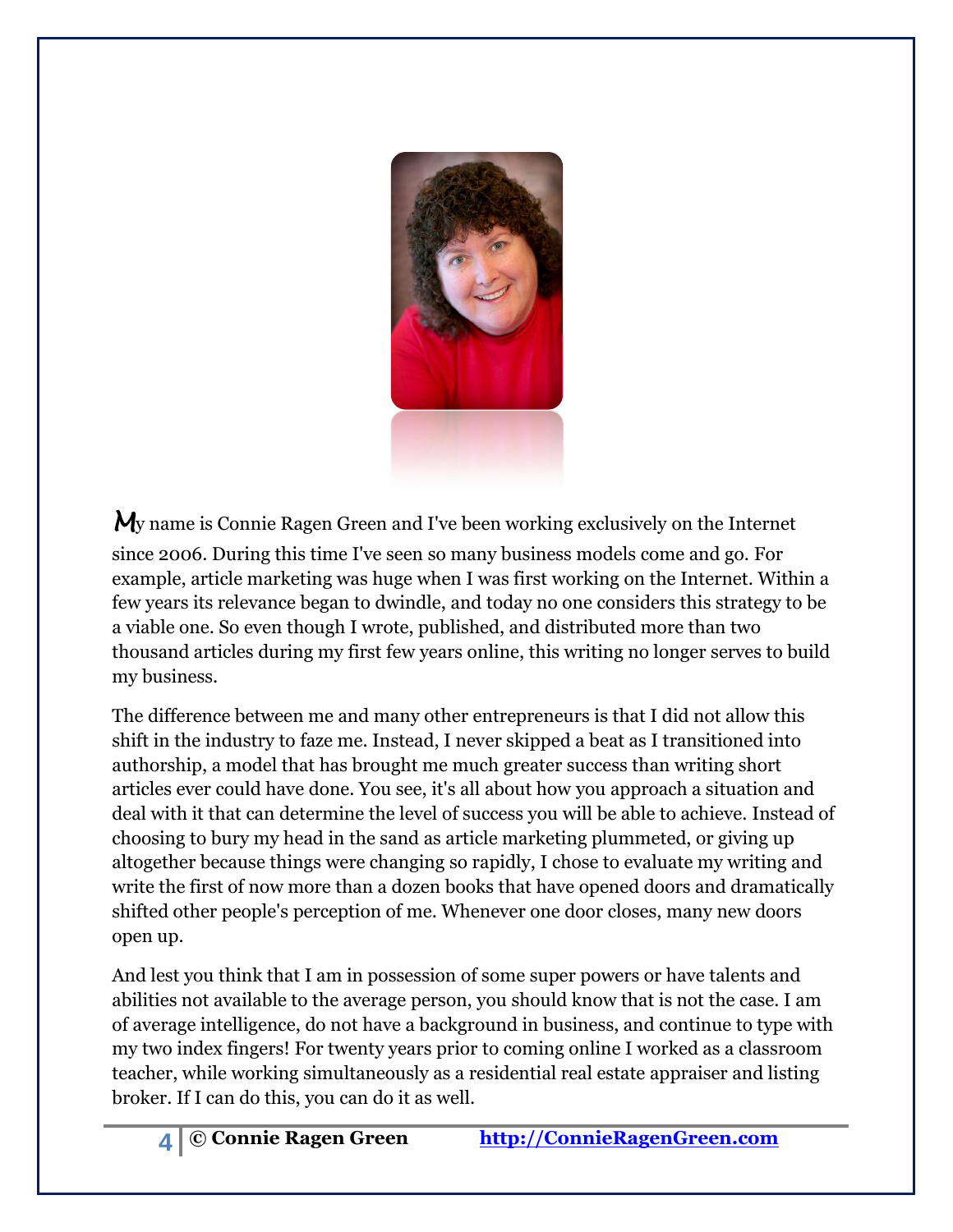

*M*y name is Connie Ragen Green and I've been working exclusively on the Internet since 2006. During this time I've seen so many business models come and go. For example, article marketing was huge when I was first working on the Internet. Within a few years its relevance began to dwindle, and today no one considers this strategy to be a viable one. So even though I wrote, published, and distributed more than two thousand articles during my first few years online, this writing no longer serves to build my business.

The difference between me and many other entrepreneurs is that I did not allow this shift in the industry to faze me. Instead, I never skipped a beat as I transitioned into authorship, a model that has brought me much greater success than writing short articles ever could have done. You see, it's all about how you approach a situation and deal with it that can determine the level of success you will be able to achieve. Instead of choosing to bury my head in the sand as article marketing plummeted, or giving up altogether because things were changing so rapidly, I chose to evaluate my writing and write the first of now more than a dozen books that have opened doors and dramatically shifted other people's perception of me. Whenever one door closes, many new doors open up.

And lest you think that I am in possession of some super powers or have talents and abilities not available to the average person, you should know that is not the case. I am of average intelligence, do not have a background in business, and continue to type with my two index fingers! For twenty years prior to coming online I worked as a classroom teacher, while working simultaneously as a residential real estate appraiser and listing broker. If I can do this, you can do it as well.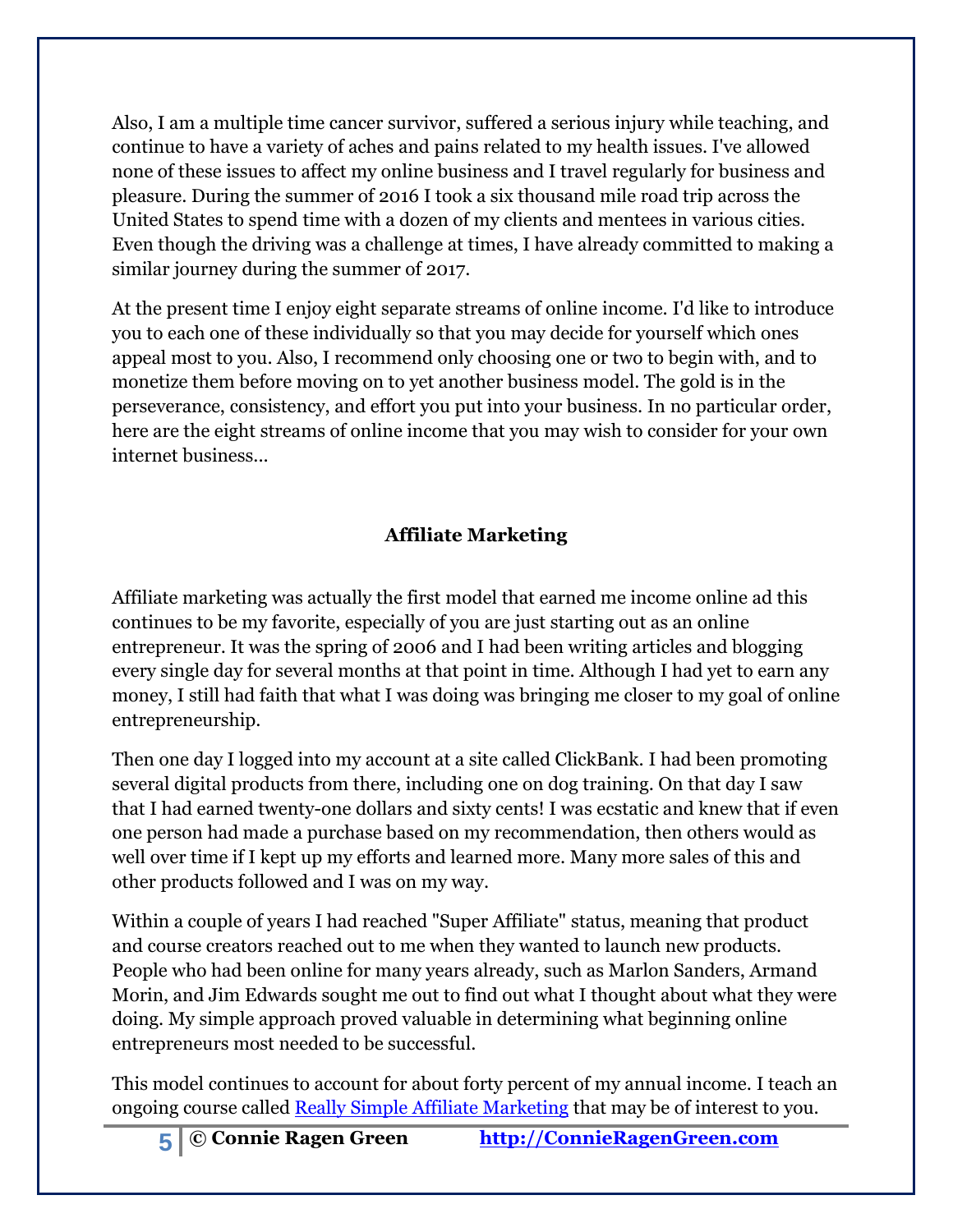Also, I am a multiple time cancer survivor, suffered a serious injury while teaching, and continue to have a variety of aches and pains related to my health issues. I've allowed none of these issues to affect my online business and I travel regularly for business and pleasure. During the summer of 2016 I took a six thousand mile road trip across the United States to spend time with a dozen of my clients and mentees in various cities. Even though the driving was a challenge at times, I have already committed to making a similar journey during the summer of 2017.

At the present time I enjoy eight separate streams of online income. I'd like to introduce you to each one of these individually so that you may decide for yourself which ones appeal most to you. Also, I recommend only choosing one or two to begin with, and to monetize them before moving on to yet another business model. The gold is in the perseverance, consistency, and effort you put into your business. In no particular order, here are the eight streams of online income that you may wish to consider for your own internet business...

### **Affiliate Marketing**

<span id="page-4-0"></span>Affiliate marketing was actually the first model that earned me income online ad this continues to be my favorite, especially of you are just starting out as an online entrepreneur. It was the spring of 2006 and I had been writing articles and blogging every single day for several months at that point in time. Although I had yet to earn any money, I still had faith that what I was doing was bringing me closer to my goal of online entrepreneurship.

Then one day I logged into my account at a site called ClickBank. I had been promoting several digital products from there, including one on dog training. On that day I saw that I had earned twenty-one dollars and sixty cents! I was ecstatic and knew that if even one person had made a purchase based on my recommendation, then others would as well over time if I kept up my efforts and learned more. Many more sales of this and other products followed and I was on my way.

Within a couple of years I had reached "Super Affiliate" status, meaning that product and course creators reached out to me when they wanted to launch new products. People who had been online for many years already, such as Marlon Sanders, Armand Morin, and Jim Edwards sought me out to find out what I thought about what they were doing. My simple approach proved valuable in determining what beginning online entrepreneurs most needed to be successful.

This model continues to account for about forty percent of my annual income. I teach an ongoing course called [Really Simple Affiliate Marketing](http://reallysimpleaffiliatemarketing.com/) that may be of interest to you.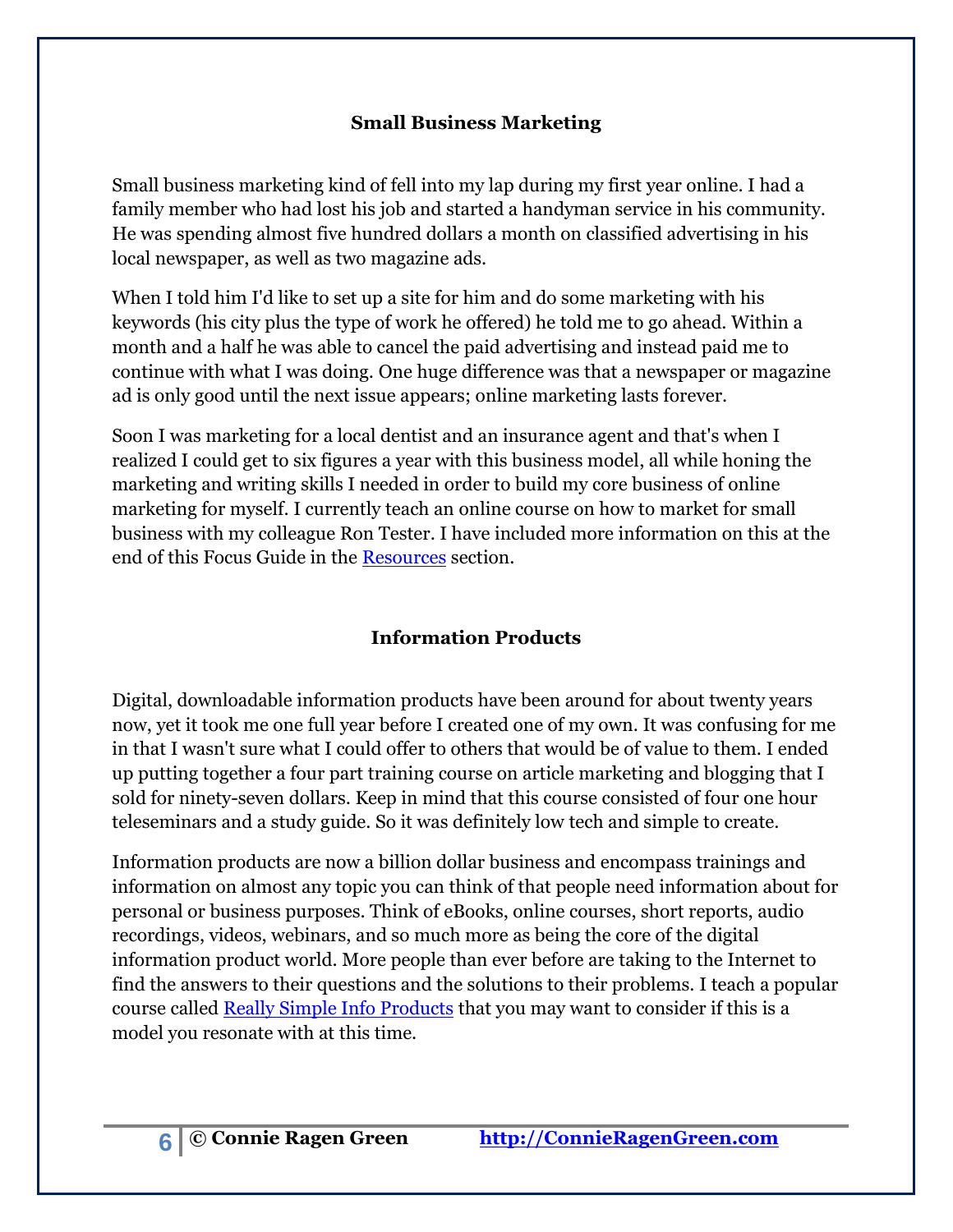#### **Small Business Marketing**

<span id="page-5-0"></span>Small business marketing kind of fell into my lap during my first year online. I had a family member who had lost his job and started a handyman service in his community. He was spending almost five hundred dollars a month on classified advertising in his local newspaper, as well as two magazine ads.

When I told him I'd like to set up a site for him and do some marketing with his keywords (his city plus the type of work he offered) he told me to go ahead. Within a month and a half he was able to cancel the paid advertising and instead paid me to continue with what I was doing. One huge difference was that a newspaper or magazine ad is only good until the next issue appears; online marketing lasts forever.

Soon I was marketing for a local dentist and an insurance agent and that's when I realized I could get to six figures a year with this business model, all while honing the marketing and writing skills I needed in order to build my core business of online marketing for myself. I currently teach an online course on how to market for small business with my colleague Ron Tester. I have included more information on this at the end of this Focus Guide in the [Resources](#page-18-0) section.

# **Information Products**

<span id="page-5-1"></span>Digital, downloadable information products have been around for about twenty years now, yet it took me one full year before I created one of my own. It was confusing for me in that I wasn't sure what I could offer to others that would be of value to them. I ended up putting together a four part training course on article marketing and blogging that I sold for ninety-seven dollars. Keep in mind that this course consisted of four one hour teleseminars and a study guide. So it was definitely low tech and simple to create.

Information products are now a billion dollar business and encompass trainings and information on almost any topic you can think of that people need information about for personal or business purposes. Think of eBooks, online courses, short reports, audio recordings, videos, webinars, and so much more as being the core of the digital information product world. More people than ever before are taking to the Internet to find the answers to their questions and the solutions to their problems. I teach a popular course called [Really Simple Info Products](http://reallysimpleinfoproducts.com/) that you may want to consider if this is a model you resonate with at this time.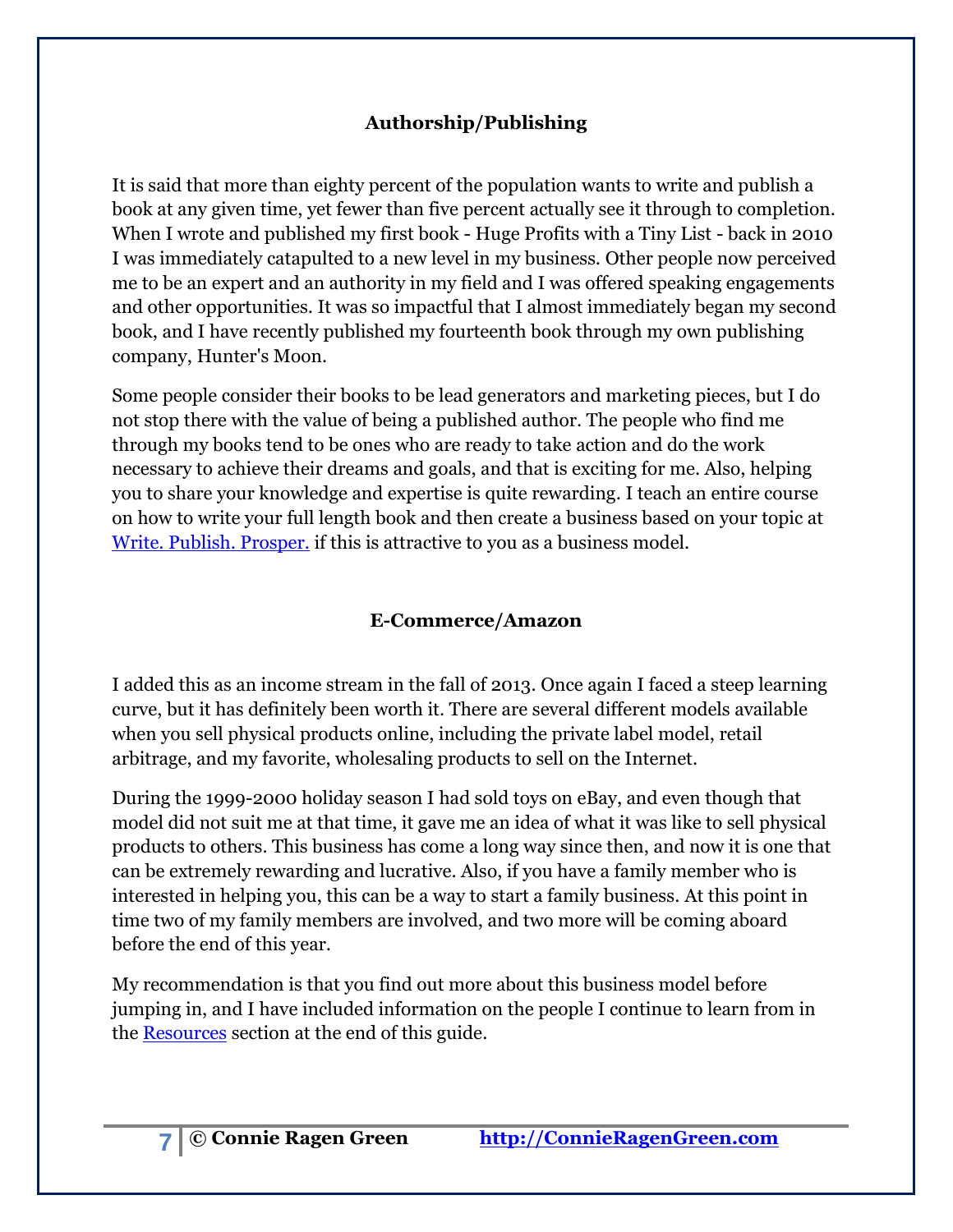### **Authorship/Publishing**

<span id="page-6-0"></span>It is said that more than eighty percent of the population wants to write and publish a book at any given time, yet fewer than five percent actually see it through to completion. When I wrote and published my first book - Huge Profits with a Tiny List - back in 2010 I was immediately catapulted to a new level in my business. Other people now perceived me to be an expert and an authority in my field and I was offered speaking engagements and other opportunities. It was so impactful that I almost immediately began my second book, and I have recently published my fourteenth book through my own publishing company, Hunter's Moon.

Some people consider their books to be lead generators and marketing pieces, but I do not stop there with the value of being a published author. The people who find me through my books tend to be ones who are ready to take action and do the work necessary to achieve their dreams and goals, and that is exciting for me. Also, helping you to share your knowledge and expertise is quite rewarding. I teach an entire course on how to write your full length book and then create a business based on your topic at [Write. Publish. Prosper.](http://writepublishprosper.com/) if this is attractive to you as a business model.

### **E-Commerce/Amazon**

<span id="page-6-1"></span>I added this as an income stream in the fall of 2013. Once again I faced a steep learning curve, but it has definitely been worth it. There are several different models available when you sell physical products online, including the private label model, retail arbitrage, and my favorite, wholesaling products to sell on the Internet.

During the 1999-2000 holiday season I had sold toys on eBay, and even though that model did not suit me at that time, it gave me an idea of what it was like to sell physical products to others. This business has come a long way since then, and now it is one that can be extremely rewarding and lucrative. Also, if you have a family member who is interested in helping you, this can be a way to start a family business. At this point in time two of my family members are involved, and two more will be coming aboard before the end of this year.

My recommendation is that you find out more about this business model before jumping in, and I have included information on the people I continue to learn from in the [Resources](#page-18-0) section at the end of this guide.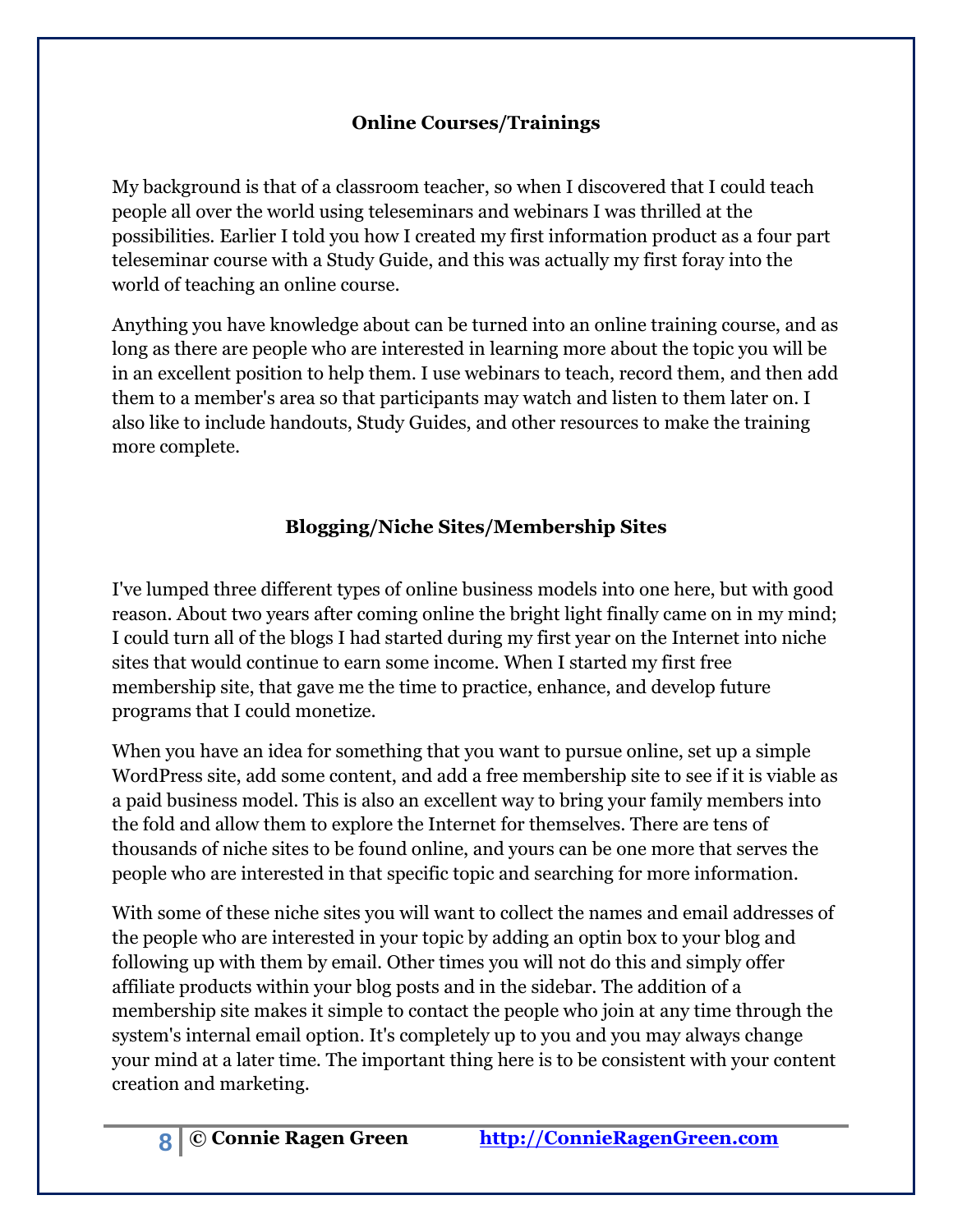### **Online Courses/Trainings**

<span id="page-7-0"></span>My background is that of a classroom teacher, so when I discovered that I could teach people all over the world using teleseminars and webinars I was thrilled at the possibilities. Earlier I told you how I created my first information product as a four part teleseminar course with a Study Guide, and this was actually my first foray into the world of teaching an online course.

Anything you have knowledge about can be turned into an online training course, and as long as there are people who are interested in learning more about the topic you will be in an excellent position to help them. I use webinars to teach, record them, and then add them to a member's area so that participants may watch and listen to them later on. I also like to include handouts, Study Guides, and other resources to make the training more complete.

# **Blogging/Niche Sites/Membership Sites**

<span id="page-7-1"></span>I've lumped three different types of online business models into one here, but with good reason. About two years after coming online the bright light finally came on in my mind; I could turn all of the blogs I had started during my first year on the Internet into niche sites that would continue to earn some income. When I started my first free membership site, that gave me the time to practice, enhance, and develop future programs that I could monetize.

When you have an idea for something that you want to pursue online, set up a simple WordPress site, add some content, and add a free membership site to see if it is viable as a paid business model. This is also an excellent way to bring your family members into the fold and allow them to explore the Internet for themselves. There are tens of thousands of niche sites to be found online, and yours can be one more that serves the people who are interested in that specific topic and searching for more information.

With some of these niche sites you will want to collect the names and email addresses of the people who are interested in your topic by adding an optin box to your blog and following up with them by email. Other times you will not do this and simply offer affiliate products within your blog posts and in the sidebar. The addition of a membership site makes it simple to contact the people who join at any time through the system's internal email option. It's completely up to you and you may always change your mind at a later time. The important thing here is to be consistent with your content creation and marketing.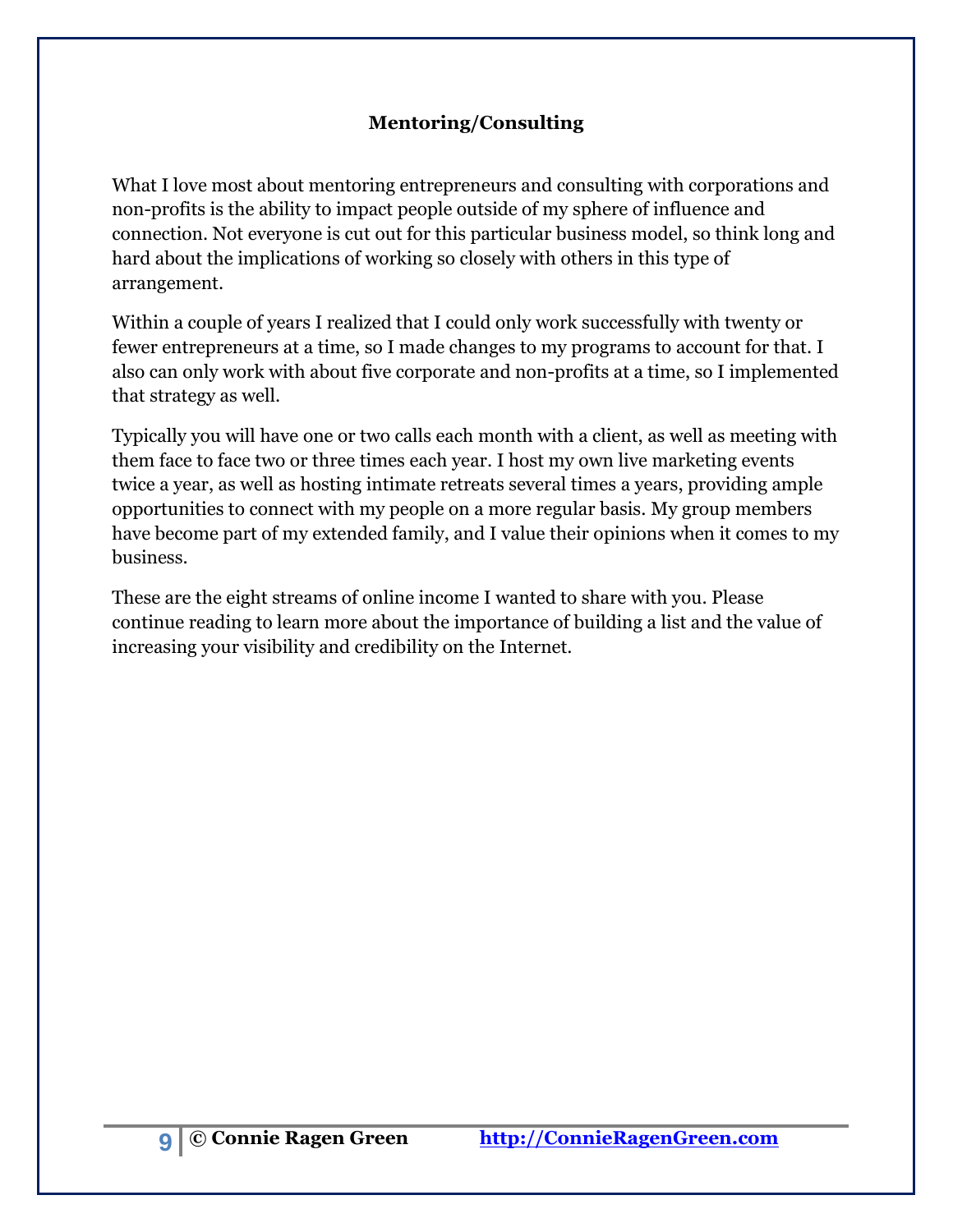#### **Mentoring/Consulting**

<span id="page-8-0"></span>What I love most about mentoring entrepreneurs and consulting with corporations and non-profits is the ability to impact people outside of my sphere of influence and connection. Not everyone is cut out for this particular business model, so think long and hard about the implications of working so closely with others in this type of arrangement.

Within a couple of years I realized that I could only work successfully with twenty or fewer entrepreneurs at a time, so I made changes to my programs to account for that. I also can only work with about five corporate and non-profits at a time, so I implemented that strategy as well.

Typically you will have one or two calls each month with a client, as well as meeting with them face to face two or three times each year. I host my own live marketing events twice a year, as well as hosting intimate retreats several times a years, providing ample opportunities to connect with my people on a more regular basis. My group members have become part of my extended family, and I value their opinions when it comes to my business.

These are the eight streams of online income I wanted to share with you. Please continue reading to learn more about the importance of building a list and the value of increasing your visibility and credibility on the Internet.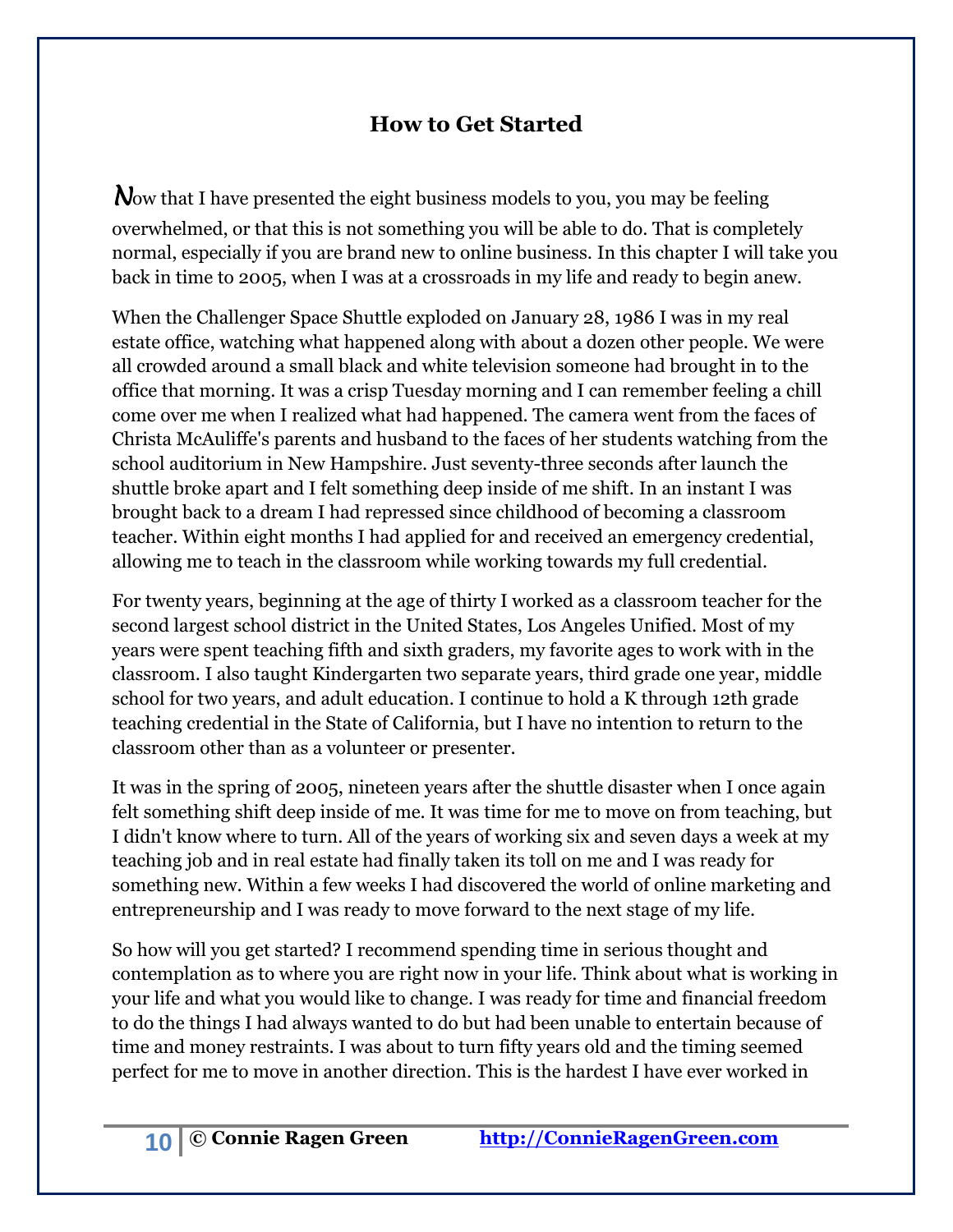# **How to Get Started**

<span id="page-9-0"></span>Now that I have presented the eight business models to you, you may be feeling overwhelmed, or that this is not something you will be able to do. That is completely normal, especially if you are brand new to online business. In this chapter I will take you back in time to 2005, when I was at a crossroads in my life and ready to begin anew.

When the Challenger Space Shuttle exploded on January 28, 1986 I was in my real estate office, watching what happened along with about a dozen other people. We were all crowded around a small black and white television someone had brought in to the office that morning. It was a crisp Tuesday morning and I can remember feeling a chill come over me when I realized what had happened. The camera went from the faces of Christa McAuliffe's parents and husband to the faces of her students watching from the school auditorium in New Hampshire. Just seventy-three seconds after launch the shuttle broke apart and I felt something deep inside of me shift. In an instant I was brought back to a dream I had repressed since childhood of becoming a classroom teacher. Within eight months I had applied for and received an emergency credential, allowing me to teach in the classroom while working towards my full credential.

For twenty years, beginning at the age of thirty I worked as a classroom teacher for the second largest school district in the United States, Los Angeles Unified. Most of my years were spent teaching fifth and sixth graders, my favorite ages to work with in the classroom. I also taught Kindergarten two separate years, third grade one year, middle school for two years, and adult education. I continue to hold a K through 12th grade teaching credential in the State of California, but I have no intention to return to the classroom other than as a volunteer or presenter.

It was in the spring of 2005, nineteen years after the shuttle disaster when I once again felt something shift deep inside of me. It was time for me to move on from teaching, but I didn't know where to turn. All of the years of working six and seven days a week at my teaching job and in real estate had finally taken its toll on me and I was ready for something new. Within a few weeks I had discovered the world of online marketing and entrepreneurship and I was ready to move forward to the next stage of my life.

So how will you get started? I recommend spending time in serious thought and contemplation as to where you are right now in your life. Think about what is working in your life and what you would like to change. I was ready for time and financial freedom to do the things I had always wanted to do but had been unable to entertain because of time and money restraints. I was about to turn fifty years old and the timing seemed perfect for me to move in another direction. This is the hardest I have ever worked in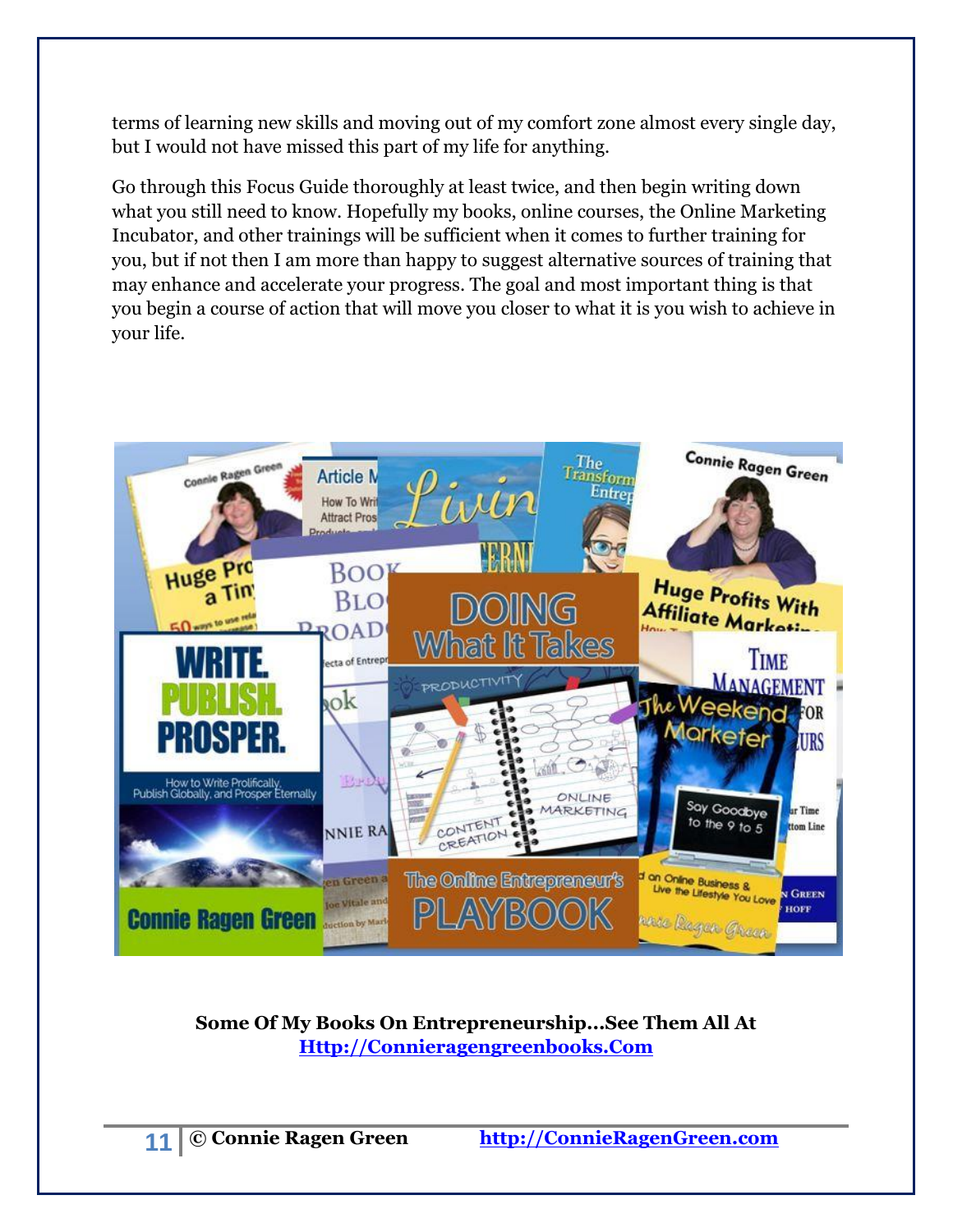terms of learning new skills and moving out of my comfort zone almost every single day, but I would not have missed this part of my life for anything.

Go through this Focus Guide thoroughly at least twice, and then begin writing down what you still need to know. Hopefully my books, online courses, the Online Marketing Incubator, and other trainings will be sufficient when it comes to further training for you, but if not then I am more than happy to suggest alternative sources of training that may enhance and accelerate your progress. The goal and most important thing is that you begin a course of action that will move you closer to what it is you wish to achieve in your life.



**Some Of My Books On Entrepreneurship...See Them All At [Http://Connieragengreenbooks.Com](http://connieragengreenbooks.com/)**

**11 © Connie Ragen Green http://ConnieRagenGreen.com**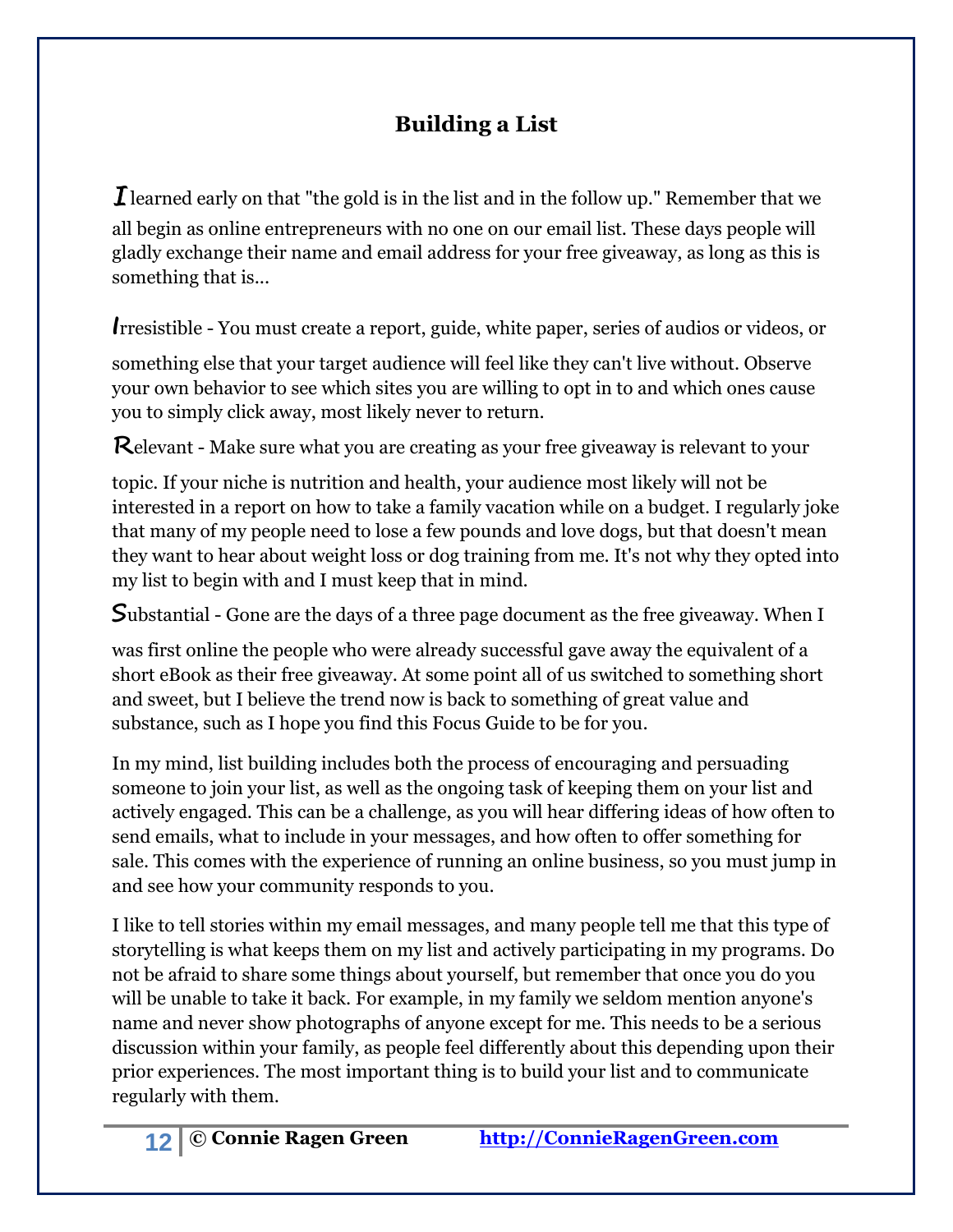# **Building a List**

<span id="page-11-0"></span>*I* learned early on that "the gold is in the list and in the follow up." Remember that we all begin as online entrepreneurs with no one on our email list. These days people will gladly exchange their name and email address for your free giveaway, as long as this is something that is...

**I**rresistible - You must create a report, guide, white paper, series of audios or videos, or

something else that your target audience will feel like they can't live without. Observe your own behavior to see which sites you are willing to opt in to and which ones cause you to simply click away, most likely never to return.

**R**elevant - Make sure what you are creating as your free giveaway is relevant to your

topic. If your niche is nutrition and health, your audience most likely will not be interested in a report on how to take a family vacation while on a budget. I regularly joke that many of my people need to lose a few pounds and love dogs, but that doesn't mean they want to hear about weight loss or dog training from me. It's not why they opted into my list to begin with and I must keep that in mind.

**S**ubstantial - Gone are the days of a three page document as the free giveaway. When I

was first online the people who were already successful gave away the equivalent of a short eBook as their free giveaway. At some point all of us switched to something short and sweet, but I believe the trend now is back to something of great value and substance, such as I hope you find this Focus Guide to be for you.

In my mind, list building includes both the process of encouraging and persuading someone to join your list, as well as the ongoing task of keeping them on your list and actively engaged. This can be a challenge, as you will hear differing ideas of how often to send emails, what to include in your messages, and how often to offer something for sale. This comes with the experience of running an online business, so you must jump in and see how your community responds to you.

I like to tell stories within my email messages, and many people tell me that this type of storytelling is what keeps them on my list and actively participating in my programs. Do not be afraid to share some things about yourself, but remember that once you do you will be unable to take it back. For example, in my family we seldom mention anyone's name and never show photographs of anyone except for me. This needs to be a serious discussion within your family, as people feel differently about this depending upon their prior experiences. The most important thing is to build your list and to communicate regularly with them.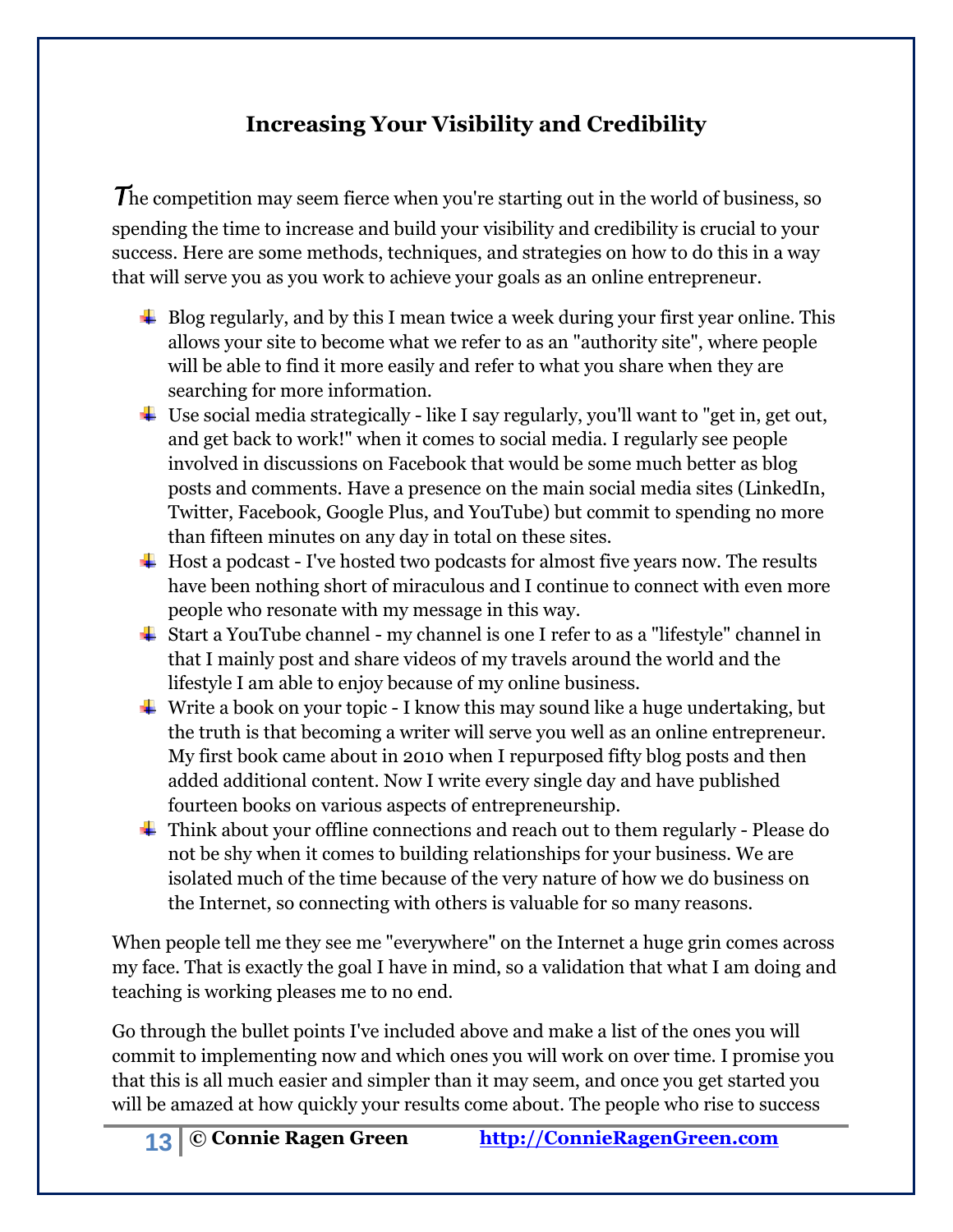# **Increasing Your Visibility and Credibility**

<span id="page-12-0"></span>The competition may seem fierce when you're starting out in the world of business, so spending the time to increase and build your visibility and credibility is crucial to your success. Here are some methods, techniques, and strategies on how to do this in a way that will serve you as you work to achieve your goals as an online entrepreneur.

- $\perp$  Blog regularly, and by this I mean twice a week during your first year online. This allows your site to become what we refer to as an "authority site", where people will be able to find it more easily and refer to what you share when they are searching for more information.
- $\ddot{\phantom{a}}$  Use social media strategically like I say regularly, you'll want to "get in, get out, and get back to work!" when it comes to social media. I regularly see people involved in discussions on Facebook that would be some much better as blog posts and comments. Have a presence on the main social media sites (LinkedIn, Twitter, Facebook, Google Plus, and YouTube) but commit to spending no more than fifteen minutes on any day in total on these sites.
- $\overline{\phantom{a}}$  Host a podcast I've hosted two podcasts for almost five years now. The results have been nothing short of miraculous and I continue to connect with even more people who resonate with my message in this way.
- $\overline{\phantom{a}}$  Start a YouTube channel my channel is one I refer to as a "lifestyle" channel in that I mainly post and share videos of my travels around the world and the lifestyle I am able to enjoy because of my online business.
- $\ddot{\bullet}$  Write a book on your topic I know this may sound like a huge undertaking, but the truth is that becoming a writer will serve you well as an online entrepreneur. My first book came about in 2010 when I repurposed fifty blog posts and then added additional content. Now I write every single day and have published fourteen books on various aspects of entrepreneurship.
- Think about your offline connections and reach out to them regularly Please do not be shy when it comes to building relationships for your business. We are isolated much of the time because of the very nature of how we do business on the Internet, so connecting with others is valuable for so many reasons.

When people tell me they see me "everywhere" on the Internet a huge grin comes across my face. That is exactly the goal I have in mind, so a validation that what I am doing and teaching is working pleases me to no end.

Go through the bullet points I've included above and make a list of the ones you will commit to implementing now and which ones you will work on over time. I promise you that this is all much easier and simpler than it may seem, and once you get started you will be amazed at how quickly your results come about. The people who rise to success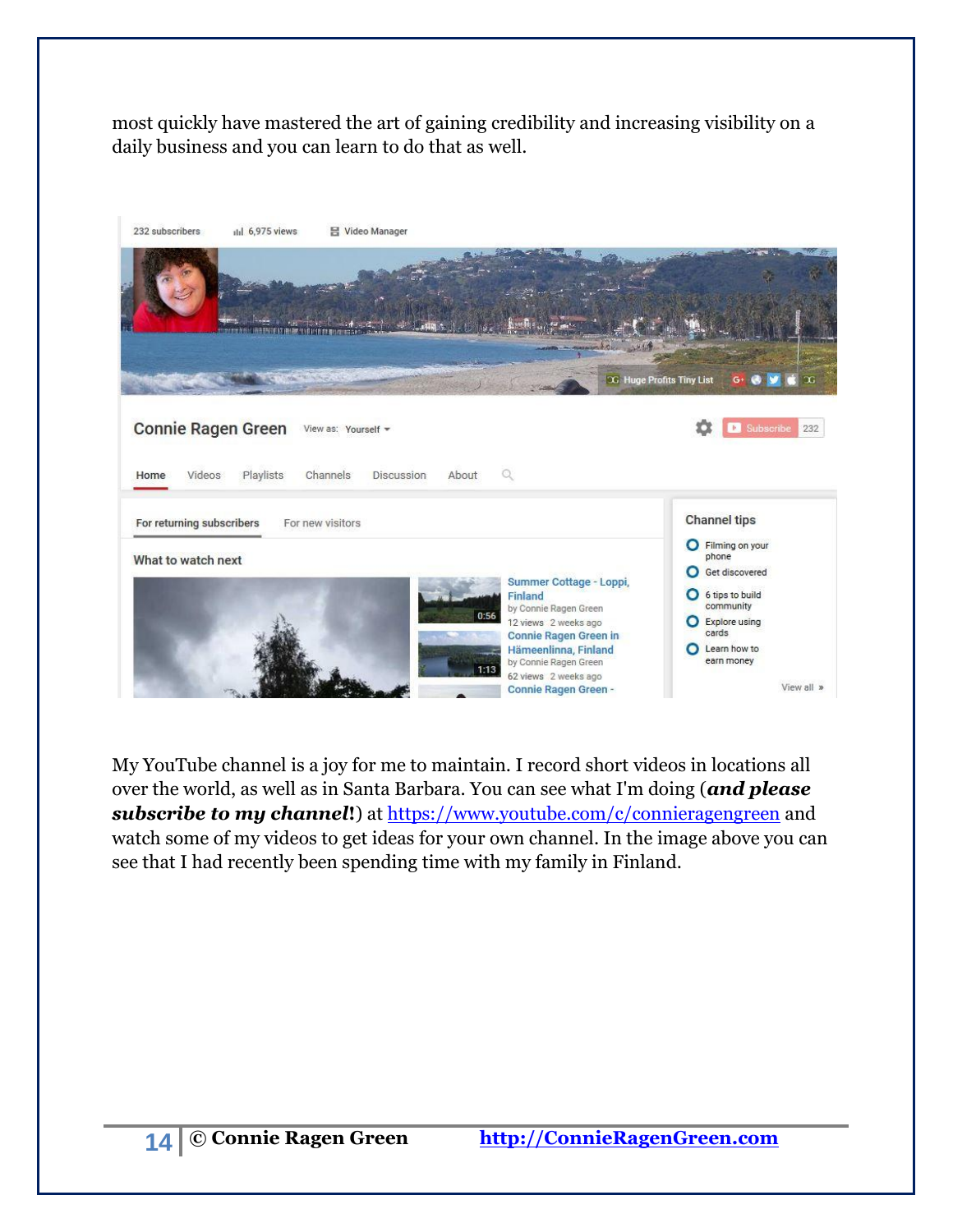most quickly have mastered the art of gaining credibility and increasing visibility on a daily business and you can learn to do that as well.

| 232 subscribers<br>ili 6,975 views<br>음 Video Manager                                                                                                                                                                                                             |                                                                                                                                                     |
|-------------------------------------------------------------------------------------------------------------------------------------------------------------------------------------------------------------------------------------------------------------------|-----------------------------------------------------------------------------------------------------------------------------------------------------|
|                                                                                                                                                                                                                                                                   |                                                                                                                                                     |
|                                                                                                                                                                                                                                                                   | 3G Huge Profits Tiny List<br>Œ<br>G.                                                                                                                |
| <b>Connie Ragen Green</b><br>View as: Yourself =<br>$\mathbb{Q}$<br>Playlists<br>Channels<br>Videos<br><b>Discussion</b><br>About<br>Home                                                                                                                         | Subscribe<br>232<br>b.                                                                                                                              |
| For returning subscribers<br>For new visitors                                                                                                                                                                                                                     | <b>Channel tips</b><br>O Filming on your                                                                                                            |
| What to watch next<br>Summer Cottage - Loppi,<br>Finland<br>by Connie Ragen Green<br>0:56<br>12 views 2 weeks ago<br><b>Connie Ragen Green in</b><br>Hämeenlinna, Finland<br>by Connie Ragen Green<br>1:13<br>62 views 2 weeks ago<br><b>Connie Ragen Green -</b> | phone<br>Get discovered<br>O<br>6 tips to build<br>$\bullet$<br>community<br>C Explore using<br>cards<br>C Learn how to<br>earn money<br>View all » |

My YouTube channel is a joy for me to maintain. I record short videos in locations all over the world, as well as in Santa Barbara. You can see what I'm doing (*and please subscribe to my channel***!**) at<https://www.youtube.com/c/connieragengreen> and watch some of my videos to get ideas for your own channel. In the image above you can see that I had recently been spending time with my family in Finland.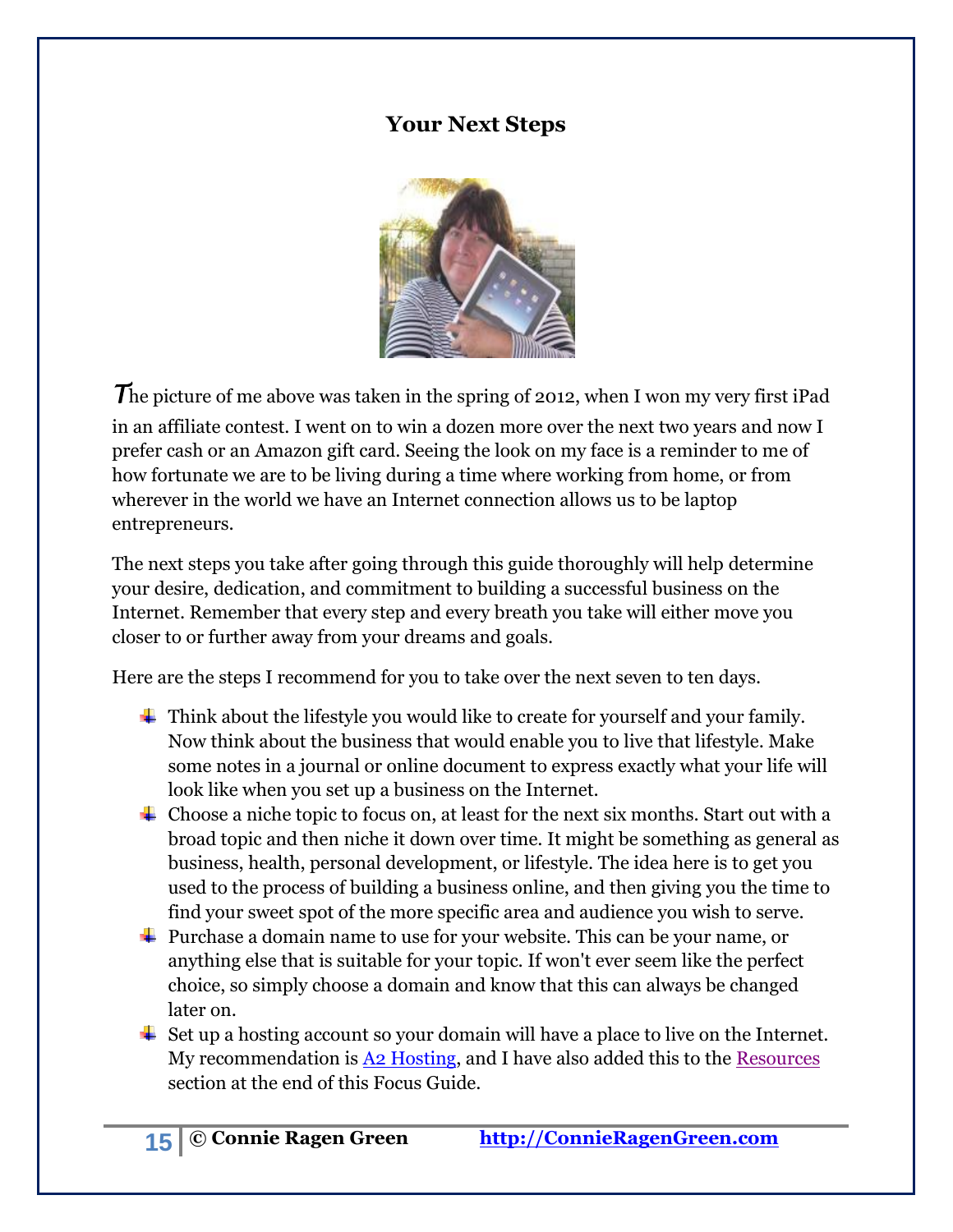### **Your Next Steps**

<span id="page-14-0"></span>

The picture of me above was taken in the spring of 2012, when I won my very first iPad in an affiliate contest. I went on to win a dozen more over the next two years and now I prefer cash or an Amazon gift card. Seeing the look on my face is a reminder to me of how fortunate we are to be living during a time where working from home, or from wherever in the world we have an Internet connection allows us to be laptop entrepreneurs.

The next steps you take after going through this guide thoroughly will help determine your desire, dedication, and commitment to building a successful business on the Internet. Remember that every step and every breath you take will either move you closer to or further away from your dreams and goals.

Here are the steps I recommend for you to take over the next seven to ten days.

- $\ddot{\phantom{1}}$  Think about the lifestyle you would like to create for yourself and your family. Now think about the business that would enable you to live that lifestyle. Make some notes in a journal or online document to express exactly what your life will look like when you set up a business on the Internet.
- $\overline{\phantom{a}}$  Choose a niche topic to focus on, at least for the next six months. Start out with a broad topic and then niche it down over time. It might be something as general as business, health, personal development, or lifestyle. The idea here is to get you used to the process of building a business online, and then giving you the time to find your sweet spot of the more specific area and audience you wish to serve.
- $\ddot{\bullet}$  Purchase a domain name to use for your website. This can be your name, or anything else that is suitable for your topic. If won't ever seem like the perfect choice, so simply choose a domain and know that this can always be changed later on.
- $\ddot{\bullet}$  Set up a hosting account so your domain will have a place to live on the Internet. My recommendation is [A2 Hosting,](http://connieloves.me/a2hosting) and I have also added this to the [Resources](#page-18-0) section at the end of this Focus Guide.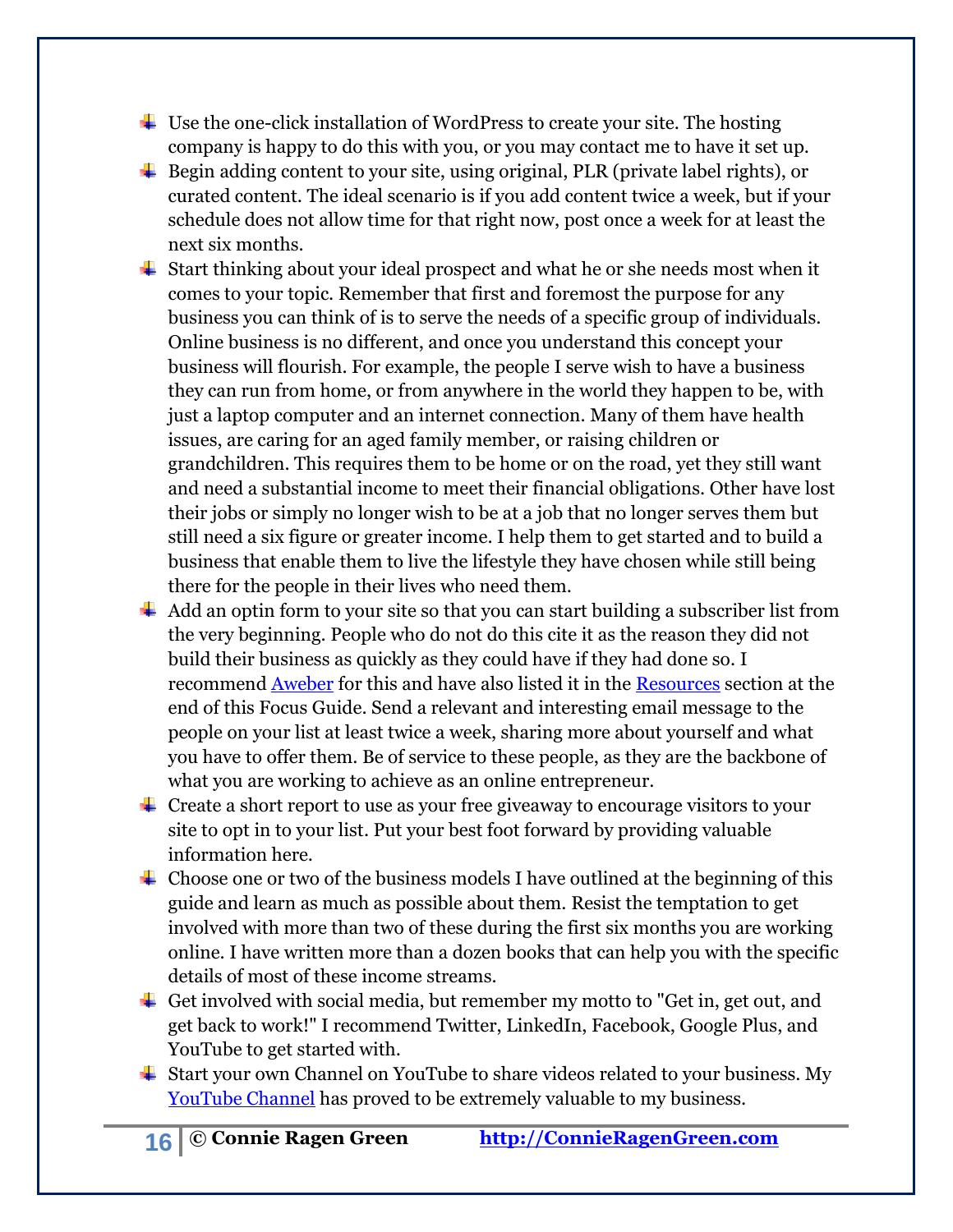- $\ddot{\phantom{a}}$  Use the one-click installation of WordPress to create your site. The hosting company is happy to do this with you, or you may contact me to have it set up.
- $\ddot{\bullet}$  Begin adding content to your site, using original, PLR (private label rights), or curated content. The ideal scenario is if you add content twice a week, but if your schedule does not allow time for that right now, post once a week for at least the next six months.
- $\ddot{\bullet}$  Start thinking about your ideal prospect and what he or she needs most when it comes to your topic. Remember that first and foremost the purpose for any business you can think of is to serve the needs of a specific group of individuals. Online business is no different, and once you understand this concept your business will flourish. For example, the people I serve wish to have a business they can run from home, or from anywhere in the world they happen to be, with just a laptop computer and an internet connection. Many of them have health issues, are caring for an aged family member, or raising children or grandchildren. This requires them to be home or on the road, yet they still want and need a substantial income to meet their financial obligations. Other have lost their jobs or simply no longer wish to be at a job that no longer serves them but still need a six figure or greater income. I help them to get started and to build a business that enable them to live the lifestyle they have chosen while still being there for the people in their lives who need them.
- $\overline{\phantom{a}}$  Add an optin form to your site so that you can start building a subscriber list from the very beginning. People who do not do this cite it as the reason they did not build their business as quickly as they could have if they had done so. I recommend [Aweber](http://connieloves.me/Aweber) for this and have also listed it in the [Resources](#page-18-0) section at the end of this Focus Guide. Send a relevant and interesting email message to the people on your list at least twice a week, sharing more about yourself and what you have to offer them. Be of service to these people, as they are the backbone of what you are working to achieve as an online entrepreneur.
- $\overline{\phantom{a} \bullet}$  Create a short report to use as your free giveaway to encourage visitors to your site to opt in to your list. Put your best foot forward by providing valuable information here.
- $\overline{\phantom{a}}$  Choose one or two of the business models I have outlined at the beginning of this guide and learn as much as possible about them. Resist the temptation to get involved with more than two of these during the first six months you are working online. I have written more than a dozen books that can help you with the specific details of most of these income streams.
- $\overline{\phantom{a}}$  Get involved with social media, but remember my motto to "Get in, get out, and get back to work!" I recommend Twitter, LinkedIn, Facebook, Google Plus, and YouTube to get started with.
- $\overline{\phantom{a}}$  Start your own Channel on YouTube to share videos related to your business. My [YouTube Channel](http://youtube.com/ConnieRagenGreen) has proved to be extremely valuable to my business.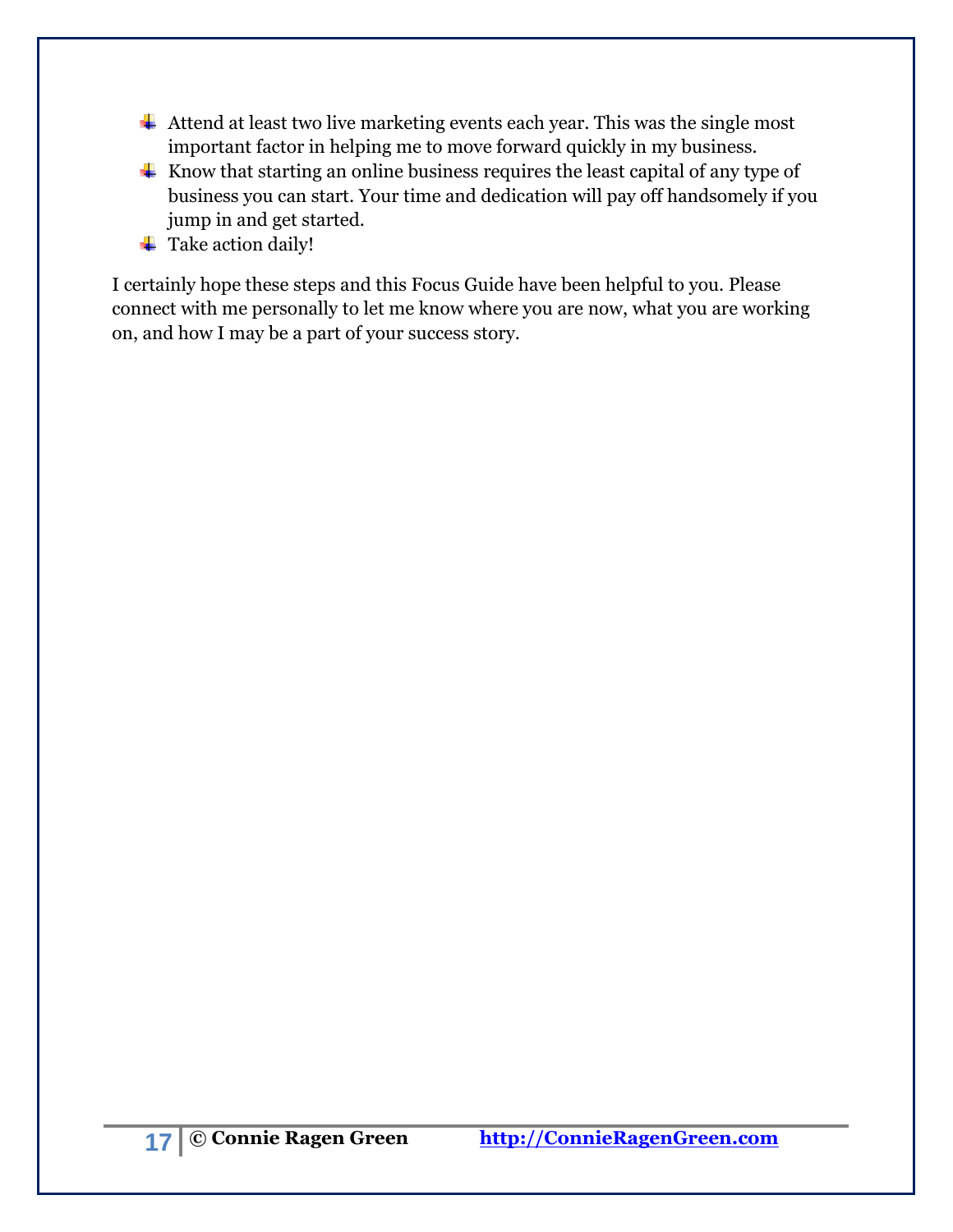- $\ddot{\phantom{1}}$  Attend at least two live marketing events each year. This was the single most important factor in helping me to move forward quickly in my business.
- $\ddot{\bullet}$  Know that starting an online business requires the least capital of any type of business you can start. Your time and dedication will pay off handsomely if you jump in and get started.
- **↓** Take action daily!

I certainly hope these steps and this Focus Guide have been helpful to you. Please connect with me personally to let me know where you are now, what you are working on, and how I may be a part of your success story.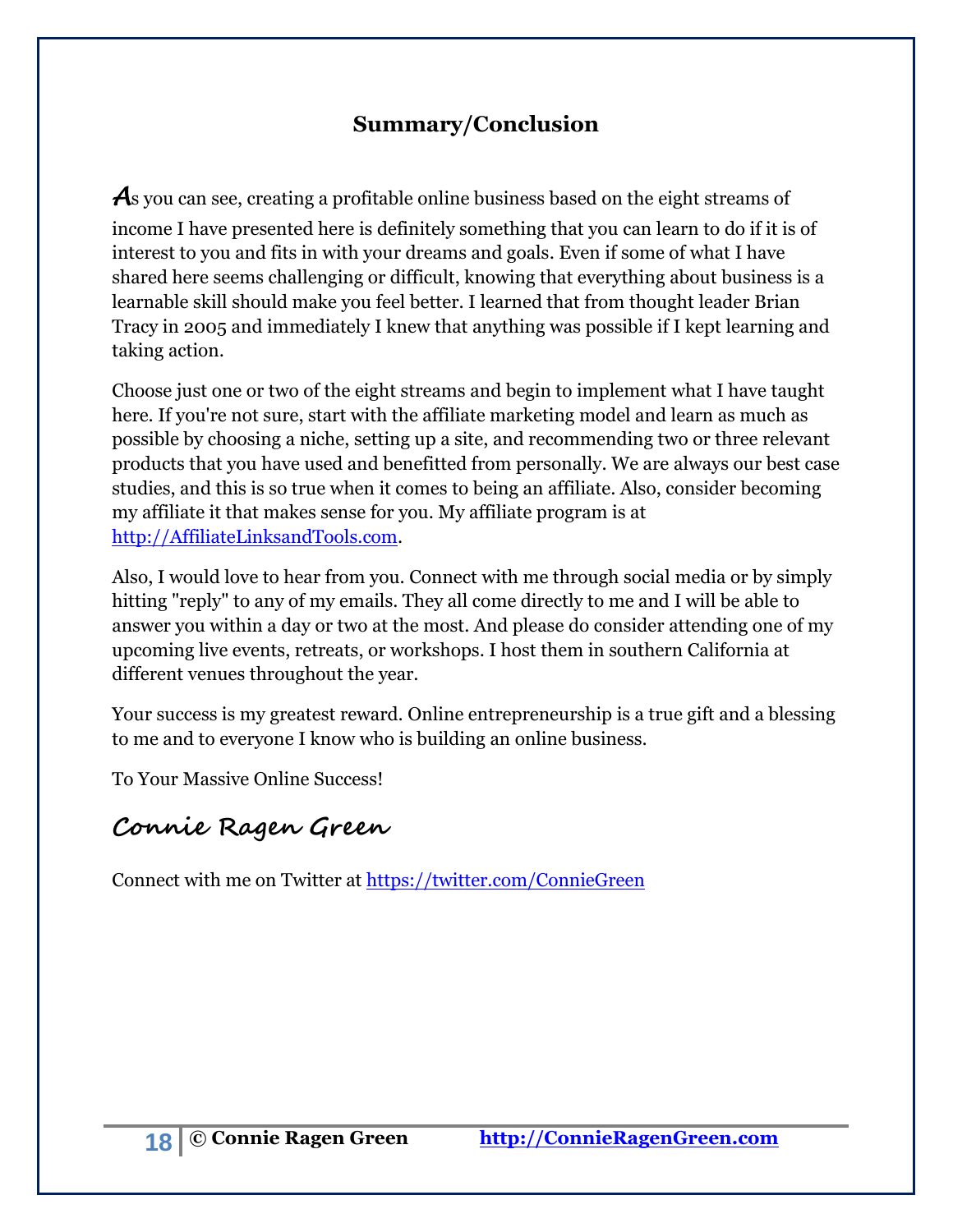# **Summary/Conclusion**

<span id="page-17-0"></span>As you can see, creating a profitable online business based on the eight streams of income I have presented here is definitely something that you can learn to do if it is of interest to you and fits in with your dreams and goals. Even if some of what I have shared here seems challenging or difficult, knowing that everything about business is a learnable skill should make you feel better. I learned that from thought leader Brian Tracy in 2005 and immediately I knew that anything was possible if I kept learning and taking action.

Choose just one or two of the eight streams and begin to implement what I have taught here. If you're not sure, start with the affiliate marketing model and learn as much as possible by choosing a niche, setting up a site, and recommending two or three relevant products that you have used and benefitted from personally. We are always our best case studies, and this is so true when it comes to being an affiliate. Also, consider becoming my affiliate it that makes sense for you. My affiliate program is at [http://AffiliateLinksandTools.com.](http://affiliatelinksandtools.com/)

Also, I would love to hear from you. Connect with me through social media or by simply hitting "reply" to any of my emails. They all come directly to me and I will be able to answer you within a day or two at the most. And please do consider attending one of my upcoming live events, retreats, or workshops. I host them in southern California at different venues throughout the year.

Your success is my greatest reward. Online entrepreneurship is a true gift and a blessing to me and to everyone I know who is building an online business.

To Your Massive Online Success!

# **Connie Ragen Green**

Connect with me on Twitter at<https://twitter.com/ConnieGreen>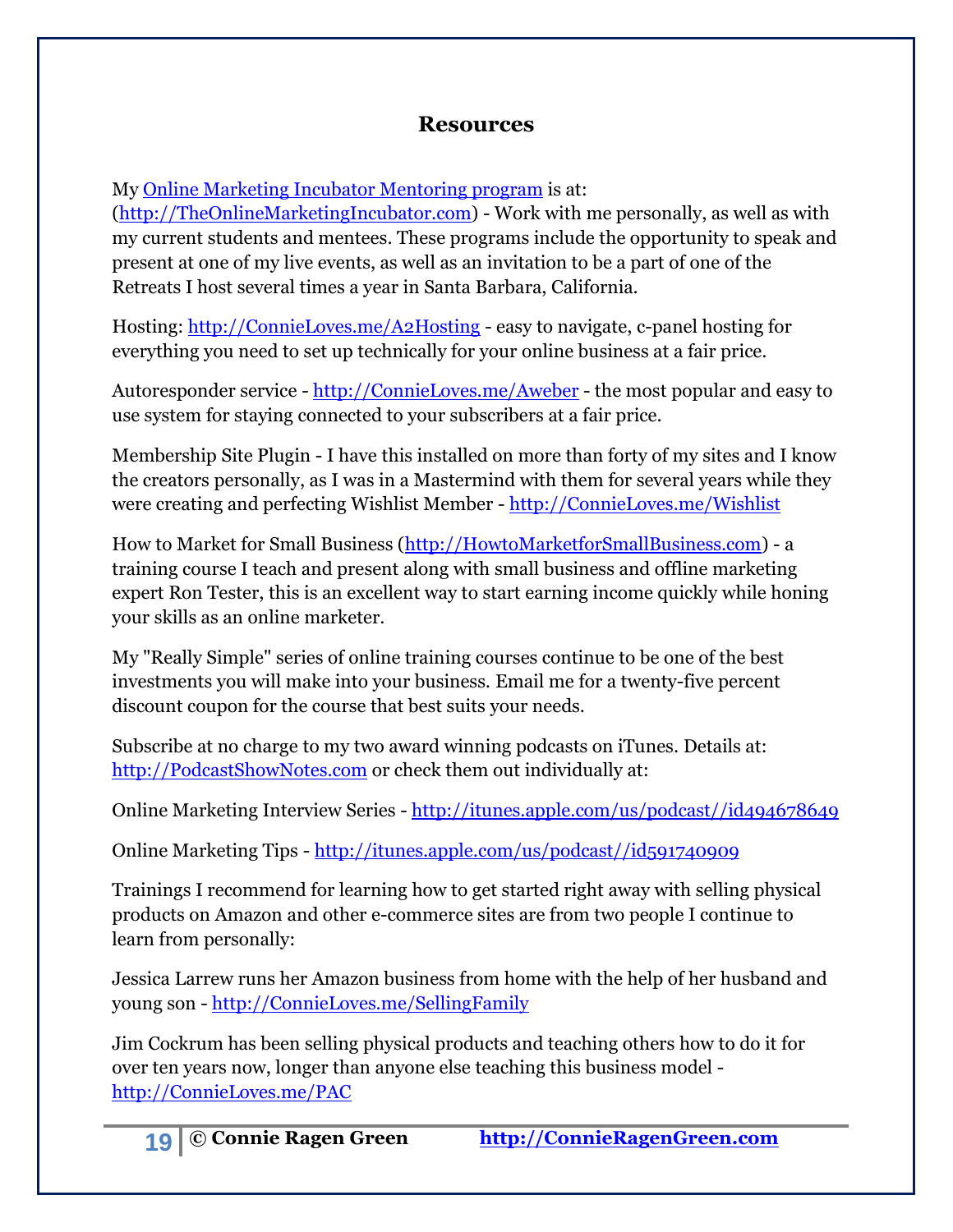#### **Resources**

<span id="page-18-0"></span>My [Online Marketing Incubator Mentoring program](http://theonlinemarketingincubator.com/) is at:

[\(http://TheOnlineMarketingIncubator.com\)](http://theonlinemarketingincubator.com/) - Work with me personally, as well as with my current students and mentees. These programs include the opportunity to speak and present at one of my live events, as well as an invitation to be a part of one of the Retreats I host several times a year in Santa Barbara, California.

Hosting: [http://ConnieLoves.me/A2Hosting](http://connieloves.me/A2Hosting) - easy to navigate, c-panel hosting for everything you need to set up technically for your online business at a fair price.

Autoresponder service - [http://ConnieLoves.me/Aweber](http://connieloves.me/Aweber) - the most popular and easy to use system for staying connected to your subscribers at a fair price.

Membership Site Plugin - I have this installed on more than forty of my sites and I know the creators personally, as I was in a Mastermind with them for several years while they were creating and perfecting Wishlist Member - [http://ConnieLoves.me/Wishlist](http://connieloves.me/Wishlist)

How to Market for Small Business [\(http://HowtoMarketforSmallBusiness.com\)](http://howtomarketforsmallbusiness.com/) - a training course I teach and present along with small business and offline marketing expert Ron Tester, this is an excellent way to start earning income quickly while honing your skills as an online marketer.

My "Really Simple" series of online training courses continue to be one of the best investments you will make into your business. Email me for a twenty-five percent discount coupon for the course that best suits your needs.

Subscribe at no charge to my two award winning podcasts on iTunes. Details at: [http://PodcastShowNotes.com](http://podcastshownotes.com/) or check them out individually at:

Online Marketing Interview Series - [http://itunes.apple.com/us/podcast//id494678649](http://itunes.apple.com/us/podcast/id494678649)

Online Marketing Tips - [http://itunes.apple.com/us/podcast//id591740909](http://itunes.apple.com/us/podcast/id591740909)

Trainings I recommend for learning how to get started right away with selling physical products on Amazon and other e-commerce sites are from two people I continue to learn from personally:

Jessica Larrew runs her Amazon business from home with the help of her husband and young son - [http://ConnieLoves.me/SellingFamily](http://connieloves.me/SellingFamily)

Jim Cockrum has been selling physical products and teaching others how to do it for over ten years now, longer than anyone else teaching this business model [http://ConnieLoves.me/PAC](http://connieloves.me/PAC)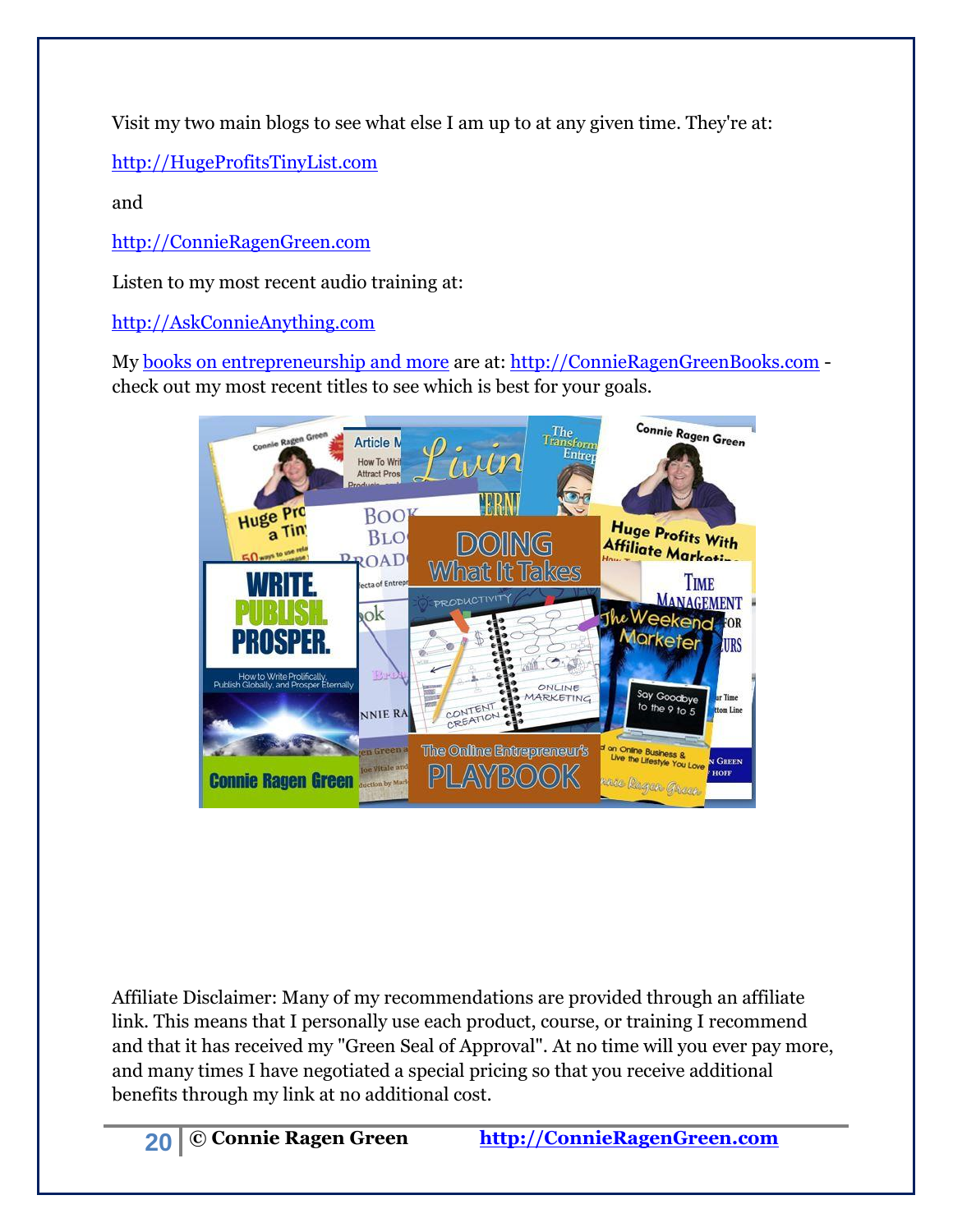Visit my two main blogs to see what else I am up to at any given time. They're at:

[http://HugeProfitsTinyList.com](http://hugeprofitstinylist.com/)

and

[http://ConnieRagenGreen.com](http://connieragengreen.com/)

Listen to my most recent audio training at:

[http://AskConnieAnything.com](http://askconnieanything.com/)

My [books on entrepreneurship and more](http://connieragengreenbooks.com/) are at: [http://ConnieRagenGreenBooks.com](http://connieragengreenbooks.com/) check out my most recent titles to see which is best for your goals.



Affiliate Disclaimer: Many of my recommendations are provided through an affiliate link. This means that I personally use each product, course, or training I recommend and that it has received my "Green Seal of Approval". At no time will you ever pay more, and many times I have negotiated a special pricing so that you receive additional benefits through my link at no additional cost.